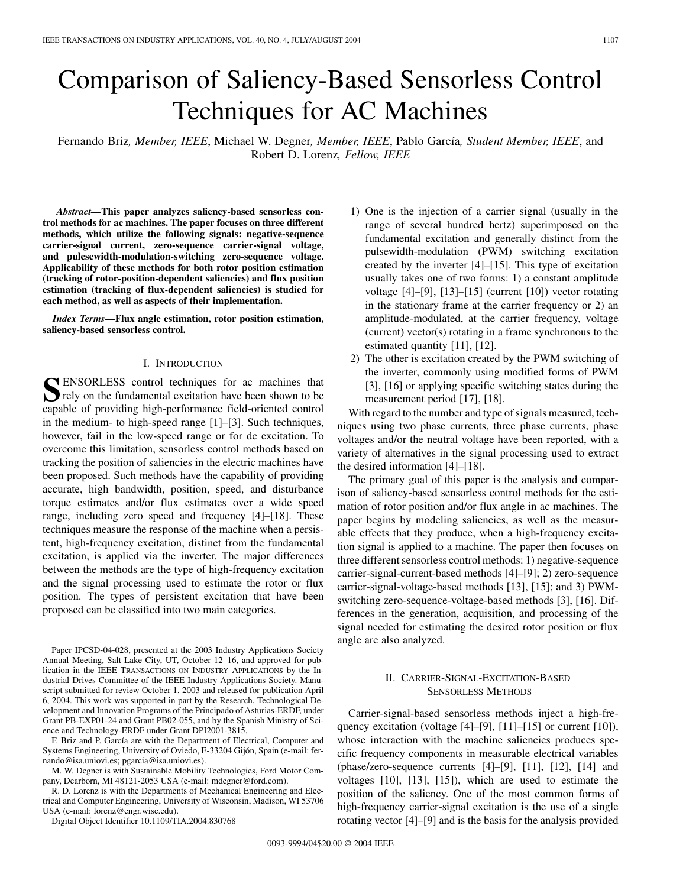# Comparison of Saliency-Based Sensorless Control Techniques for AC Machines

Fernando Briz*, Member, IEEE*, Michael W. Degner*, Member, IEEE*, Pablo García*, Student Member, IEEE*, and Robert D. Lorenz*, Fellow, IEEE*

*Abstract—***This paper analyzes saliency-based sensorless control methods for ac machines. The paper focuses on three different methods, which utilize the following signals: negative-sequence carrier-signal current, zero-sequence carrier-signal voltage, and pulesewidth-modulation-switching zero-sequence voltage. Applicability of these methods for both rotor position estimation (tracking of rotor-position-dependent saliencies) and flux position estimation (tracking of flux-dependent saliencies) is studied for each method, as well as aspects of their implementation.**

*Index Terms—***Flux angle estimation, rotor position estimation, saliency-based sensorless control.**

## I. INTRODUCTION

**S**ENSORLESS control techniques for ac machines that **T** rely on the fundamental excitation have been shown to be capable of providing high-performance field-oriented control in the medium- to high-speed range [\[1](#page-7-0)]–[[3\]](#page-8-0). Such techniques, however, fail in the low-speed range or for dc excitation. To overcome this limitation, sensorless control methods based on tracking the position of saliencies in the electric machines have been proposed. Such methods have the capability of providing accurate, high bandwidth, position, speed, and disturbance torque estimates and/or flux estimates over a wide speed range, including zero speed and frequency [[4\]](#page-8-0)–[[18\]](#page-8-0). These techniques measure the response of the machine when a persistent, high-frequency excitation, distinct from the fundamental excitation, is applied via the inverter. The major differences between the methods are the type of high-frequency excitation and the signal processing used to estimate the rotor or flux position. The types of persistent excitation that have been proposed can be classified into two main categories.

Paper IPCSD-04-028, presented at the 2003 Industry Applications Society Annual Meeting, Salt Lake City, UT, October 12–16, and approved for publication in the IEEE TRANSACTIONS ON INDUSTRY APPLICATIONS by the Industrial Drives Committee of the IEEE Industry Applications Society. Manuscript submitted for review October 1, 2003 and released for publication April 6, 2004. This work was supported in part by the Research, Technological Development and Innovation Programs of the Principado of Asturias-ERDF, under Grant PB-EXP01-24 and Grant PB02-055, and by the Spanish Ministry of Science and Technology-ERDF under Grant DPI2001-3815.

F. Briz and P. García are with the Department of Electrical, Computer and Systems Engineering, University of Oviedo, E-33204 Gijón, Spain (e-mail: fernando@isa.uniovi.es; pgarcia@isa.uniovi.es).

M. W. Degner is with Sustainable Mobility Technologies, Ford Motor Company, Dearborn, MI 48121-2053 USA (e-mail: mdegner@ford.com).

R. D. Lorenz is with the Departments of Mechanical Engineering and Electrical and Computer Engineering, University of Wisconsin, Madison, WI 53706 USA (e-mail: lorenz@engr.wisc.edu).

Digital Object Identifier 10.1109/TIA.2004.830768

- 1) One is the injection of a carrier signal (usually in the range of several hundred hertz) superimposed on the fundamental excitation and generally distinct from the pulsewidth-modulation (PWM) switching excitation created by the inverter [\[4](#page-8-0)]–[[15\]](#page-8-0). This type of excitation usually takes one of two forms: 1) a constant amplitude voltage [[4\]](#page-8-0)–[[9\]](#page-8-0), [\[13](#page-8-0)]–[[15\]](#page-8-0) (current [[10\]](#page-8-0)) vector rotating in the stationary frame at the carrier frequency or 2) an amplitude-modulated, at the carrier frequency, voltage (current) vector(s) rotating in a frame synchronous to the estimated quantity [[11\]](#page-8-0), [[12\]](#page-8-0).
- 2) The other is excitation created by the PWM switching of the inverter, commonly using modified forms of PWM [\[3](#page-8-0)], [\[16](#page-8-0)] or applying specific switching states during the measurement period [\[17](#page-8-0)], [\[18](#page-8-0)].

With regard to the number and type of signals measured, techniques using two phase currents, three phase currents, phase voltages and/or the neutral voltage have been reported, with a variety of alternatives in the signal processing used to extract the desired information [[4\]](#page-8-0)–[\[18](#page-8-0)].

The primary goal of this paper is the analysis and comparison of saliency-based sensorless control methods for the estimation of rotor position and/or flux angle in ac machines. The paper begins by modeling saliencies, as well as the measurable effects that they produce, when a high-frequency excitation signal is applied to a machine. The paper then focuses on three different sensorless control methods: 1) negative-sequence carrier-signal-current-based methods [\[4](#page-8-0)]–[[9\]](#page-8-0); 2) zero-sequence carrier-signal-voltage-based methods [[13\]](#page-8-0), [[15\]](#page-8-0); and 3) PWMswitching zero-sequence-voltage-based methods [\[3](#page-8-0)], [\[16](#page-8-0)]. Differences in the generation, acquisition, and processing of the signal needed for estimating the desired rotor position or flux angle are also analyzed.

## II. CARRIER-SIGNAL-EXCITATION-BASED SENSORLESS METHODS

Carrier-signal-based sensorless methods inject a high-frequency excitation (voltage [[4\]](#page-8-0)–[\[9](#page-8-0)], [[11](#page-8-0)]–[\[15](#page-8-0)] or current [\[10](#page-8-0)]), whose interaction with the machine saliencies produces specific frequency components in measurable electrical variables (phase/zero-sequence currents  $[4]$  $[4]$ – $[9]$  $[9]$ ,  $[11]$  $[11]$ ,  $[12]$  $[12]$ ,  $[14]$  $[14]$  and voltages [[10\]](#page-8-0), [[13\]](#page-8-0), [\[15](#page-8-0)]), which are used to estimate the position of the saliency. One of the most common forms of high-frequency carrier-signal excitation is the use of a single rotating vector [[4\]](#page-8-0)–[\[9](#page-8-0)] and is the basis for the analysis provided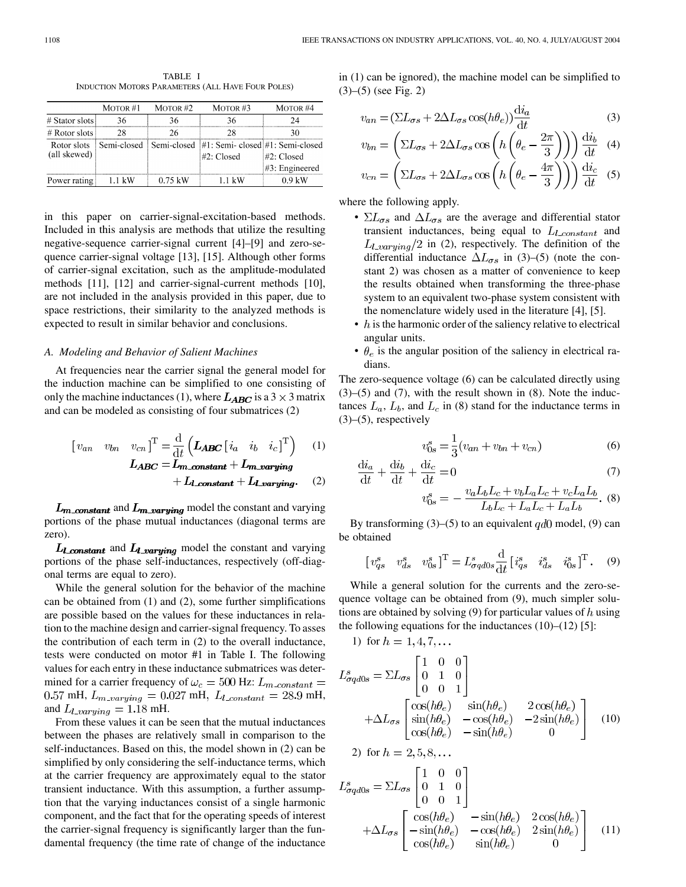TABLE I INDUCTION MOTORS PARAMETERS (ALL HAVE FOUR POLES)

|                             | MOTOR $#1$ | MOTOR $#2$ | MOTOR $#3$                                                            | MOTOR #4                        |
|-----------------------------|------------|------------|-----------------------------------------------------------------------|---------------------------------|
| # Stator slots              | 36         | 36         | 36                                                                    |                                 |
| $#$ Rotor slots             | 28         | 26         | 28                                                                    |                                 |
| Rotor slots<br>(all skewed) |            |            | Semi-closed Semi-closed #1: Semi-closed #1: Semi-closed<br>#2: Closed | #2: Closed<br>$#3$ : Engineered |
| Power rating                | 1.1 kW     | 0.75 kW    | 11 kW                                                                 | 0 9 LW                          |

in this paper on carrier-signal-excitation-based methods. Included in this analysis are methods that utilize the resulting negative-sequence carrier-signal current [\[4](#page-8-0)]–[\[9](#page-8-0)] and zero-sequence carrier-signal voltage [\[13](#page-8-0)], [[15](#page-8-0)]. Although other forms of carrier-signal excitation, such as the amplitude-modulated methods [[11\]](#page-8-0), [[12\]](#page-8-0) and carrier-signal-current methods [[10\]](#page-8-0), are not included in the analysis provided in this paper, due to space restrictions, their similarity to the analyzed methods is expected to result in similar behavior and conclusions.

## *A. Modeling and Behavior of Salient Machines*

At frequencies near the carrier signal the general model for the induction machine can be simplified to one consisting of only the machine inductances (1), where  $L_{ABC}$  is a 3  $\times$  3 matrix and can be modeled as consisting of four submatrices (2)

$$
\begin{bmatrix} v_{an} & v_{bn} & v_{cn} \end{bmatrix}^{\mathrm{T}} = \frac{\mathrm{d}}{\mathrm{d}t} \left( L_{\mathbf{ABC}} \begin{bmatrix} i_a & i_b & i_c \end{bmatrix}^{\mathrm{T}} \right) \qquad (1)
$$

$$
L_{\mathbf{ABC}} = L_{\mathbf{m\_constant}} + L_{\mathbf{m\_varying}} + L_{\mathbf{I\_varying}}. \qquad (2)
$$

 $L_{\rm m\_constant}$  and  $L_{\rm m\_varying}$  model the constant and varying portions of the phase mutual inductances (diagonal terms are zero).

 $L_{\text{L}-constant}$  and  $L_{\text{L}-varying}$  model the constant and varying portions of the phase self-inductances, respectively (off-diagonal terms are equal to zero).

While the general solution for the behavior of the machine can be obtained from (1) and (2), some further simplifications are possible based on the values for these inductances in relation to the machine design and carrier-signal frequency. To asses the contribution of each term in (2) to the overall inductance, tests were conducted on motor #1 in Table I. The following values for each entry in these inductance submatrices was determined for a carrier frequency of  $\omega_c = 500$  Hz:  $L_{m\_constant} =$ 0.57 mH,  $L_{m\_varying} = 0.027$  mH,  $L_{l\_constant} = 28.9$  mH, and  $L_{\ell\_varying} = 1.18 \text{ mH}.$ 

From these values it can be seen that the mutual inductances between the phases are relatively small in comparison to the self-inductances. Based on this, the model shown in (2) can be simplified by only considering the self-inductance terms, which at the carrier frequency are approximately equal to the stator transient inductance. With this assumption, a further assumption that the varying inductances consist of a single harmonic component, and the fact that for the operating speeds of interest the carrier-signal frequency is significantly larger than the fundamental frequency (the time rate of change of the inductance in (1) can be ignored), the machine model can be simplified to (3)–(5) (see Fig. 2)

$$
v_{an} = \left(\Sigma L_{\sigma s} + 2\Delta L_{\sigma s} \cos(h\theta_e)\right) \frac{d i_a}{dt} \tag{3}
$$

$$
v_{bn} = \left(\Sigma L_{\sigma s} + 2\Delta L_{\sigma s} \cos\left(h\left(\theta_e - \frac{2\pi}{3}\right)\right)\right) \frac{di_b}{dt} \quad (4)
$$

$$
v_{cn} = \left( \Sigma L_{\sigma s} + 2\Delta L_{\sigma s} \cos\left(h\left(\theta_e - \frac{4\pi}{3}\right)\right) \right) \frac{\mathrm{d}i_c}{\mathrm{d}t} \quad (5)
$$

where the following apply.

 $\ddot{\phantom{a}}$ 

- $\Sigma L_{\sigma s}$  and  $\Delta L_{\sigma s}$  are the average and differential stator transient inductances, being equal to  $L_{l\_constant}$  and  $L_{1\_varying}/2$  in (2), respectively. The definition of the differential inductance  $\Delta L_{\sigma s}$  in (3)–(5) (note the constant 2) was chosen as a matter of convenience to keep the results obtained when transforming the three-phase system to an equivalent two-phase system consistent with the nomenclature widely used in the literature [[4\]](#page-8-0), [\[5](#page-8-0)].
- $\bullet$  h is the harmonic order of the saliency relative to electrical angular units.
- $\theta_e$  is the angular position of the saliency in electrical radians.

The zero-sequence voltage (6) can be calculated directly using  $(3)$ – $(5)$  and  $(7)$ , with the result shown in  $(8)$ . Note the inductances  $L_a$ ,  $L_b$ , and  $L_c$  in (8) stand for the inductance terms in  $(3)$ – $(5)$ , respectively

$$
v_{0s}^s = \frac{1}{3}(v_{an} + v_{bn} + v_{cn})
$$
 (6)

$$
\frac{\mathrm{d}u_a}{\mathrm{d}t} + \frac{\mathrm{d}u_b}{\mathrm{d}t} + \frac{\mathrm{d}u_c}{\mathrm{d}t} = 0\tag{7}
$$

$$
v_{0s}^s = -\frac{v_a L_b L_c + v_b L_a L_c + v_c L_a L_b}{L_b L_c + L_a L_c + L_a L_b}.
$$
 (8)

By transforming  $(3)$ – $(5)$  to an equivalent qd0 model, (9) can be obtained

$$
\begin{bmatrix} v_{qs}^s & v_{ds}^s & v_{0s}^s \end{bmatrix}^{\mathrm{T}} = L_{\sigma q d 0s}^s \frac{\mathrm{d}}{\mathrm{d} t} \begin{bmatrix} i_{qs}^s & i_{ds}^s & i_{0s}^s \end{bmatrix}^{\mathrm{T}}. \tag{9}
$$

While a general solution for the currents and the zero-sequence voltage can be obtained from (9), much simpler solutions are obtained by solving (9) for particular values of h using the following equations for the inductances  $(10)$ – $(12)$  [[5\]](#page-8-0):

1) for 
$$
h = 1, 4, 7, ...
$$
  
\n
$$
L_{\sigma q d0s}^{s} = \Sigma L_{\sigma s} \begin{bmatrix} 1 & 0 & 0 \\ 0 & 1 & 0 \\ 0 & 0 & 1 \end{bmatrix}
$$
\n
$$
+ \Delta L_{\sigma s} \begin{bmatrix} \cos(h\theta_{e}) & \sin(h\theta_{e}) & 2\cos(h\theta_{e}) \\ \sin(h\theta_{e}) & -\cos(h\theta_{e}) & -2\sin(h\theta_{e}) \\ \cos(h\theta_{e}) & -\sin(h\theta_{e}) & 0 \end{bmatrix}
$$
\n(10)\n2) for  $h = 2, 5, 8, ...$   
\n
$$
L_{\sigma q d0s}^{s} = \Sigma L_{\sigma s} \begin{bmatrix} 1 & 0 & 0 \\ 0 & 1 & 0 \\ 0 & 0 & 1 \end{bmatrix}
$$
\n
$$
+ \Delta L_{\sigma s} \begin{bmatrix} \cos(h\theta_{e}) & -\sin(h\theta_{e}) & 2\cos(h\theta_{e}) \\ -\sin(h\theta_{e}) & -\cos(h\theta_{e}) & 2\sin(h\theta_{e}) \\ \cos(h\theta_{e}) & \sin(h\theta_{e}) & 0 \end{bmatrix}
$$
\n(11)

(11)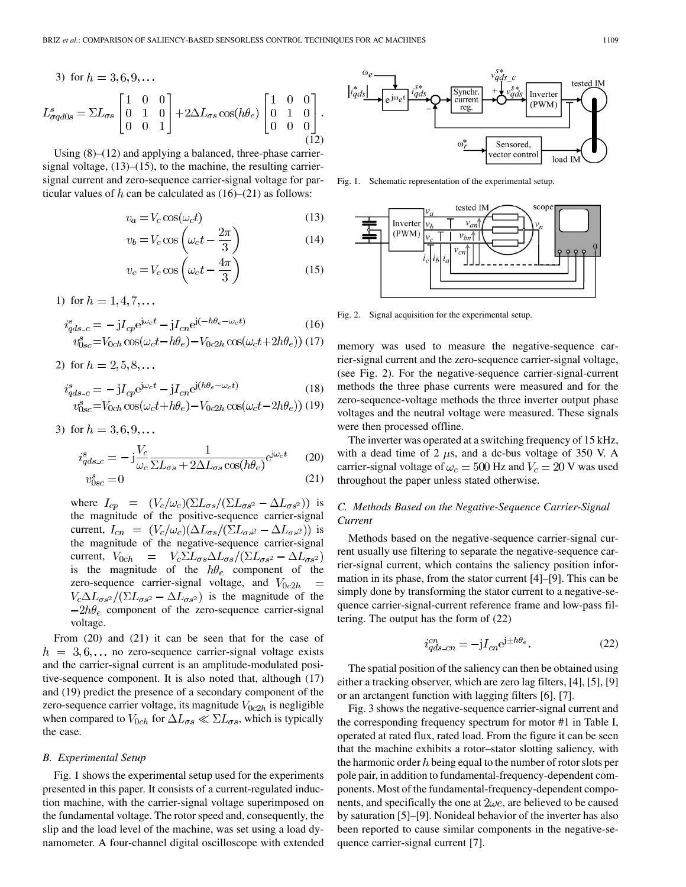3) for 
$$
h = 3, 6, 9, ...
$$
  
\n
$$
L_{\sigma q d0s}^s = \Sigma L_{\sigma s} \begin{bmatrix} 1 & 0 & 0 \\ 0 & 1 & 0 \\ 0 & 0 & 1 \end{bmatrix} + 2\Delta L_{\sigma s} \cos(h\theta_e) \begin{bmatrix} 1 & 0 & 0 \\ 0 & 1 & 0 \\ 0 & 0 & 0 \end{bmatrix}.
$$
\n(12)

Using (8)–(12) and applying a balanced, three-phase carriersignal voltage,  $(13)$ – $(15)$ , to the machine, the resulting carriersignal current and zero-sequence carrier-signal voltage for particular values of  $h$  can be calculated as (16)–(21) as follows:

$$
v_a = V_c \cos(\omega_c t) \tag{13}
$$

$$
v_b = V_c \cos\left(\omega_c t - \frac{2\pi}{3}\right) \tag{14}
$$

$$
v_c = V_c \cos\left(\omega_c t - \frac{4\pi}{3}\right) \tag{15}
$$

1) for  $h = 1, 4, 7, \dots$ 

$$
i_{qds\_c}^s = -jI_{cp}e^{j\omega_c t} - jI_{cn}e^{j(-h\theta_e - \omega_c t)}
$$
(16)

$$
v_{0sc}^{s} = V_{0ch} \cos(\omega_c t - h\theta_e) - V_{0c2h} \cos(\omega_c t + 2h\theta_e))
$$
 (17)

2) for  $h = 2, 5, 8, \dots$ 

$$
i_{qds\_c}^s = -jI_{cp}e^{j\omega_c t} - jI_{cn}e^{j(h\theta_e - \omega_c t)}
$$
(18)  

$$
v_{0sc}^s = V_{0ch}\cos(\omega_c t + h\theta_e) - V_{0c2h}\cos(\omega_c t - 2h\theta_e)
$$
(19)

3) for 
$$
h = 3, 6, 9, \ldots
$$

$$
i_{qds\_c}^s = -j\frac{V_c}{\omega_c} \frac{1}{\Sigma L_{\sigma s} + 2\Delta L_{\sigma s} \cos(h\theta_e)} e^{j\omega_c t} \tag{20}
$$

$$
v_{0sc}^s = 0 \tag{21}
$$

where  $I_{cp} = (V_c/\omega_c)(\Sigma L_{\sigma s}/(\Sigma L_{\sigma s^2} - \Delta L_{\sigma s^2}))$  is the magnitude of the positive-sequence carrier-signal current,  $I_{cn} = (V_c/\omega_c)(\Delta L_{\sigma s}/(\Sigma L_{\sigma s^2} - \Delta L_{\sigma s^2}))$  is the magnitude of the negative-sequence carrier-signal current,  $V_{0ch} = V_c \Sigma L_{\sigma s} \Delta L_{\sigma s} / (\Sigma L_{\sigma s^2} - \Delta L_{\sigma s^2})$ is the magnitude of the  $h\theta_e$  component of the zero-sequence carrier-signal voltage, and  $V_{0c2h}$  $V_c \Delta L_{\sigma s^2}/(\Sigma L_{\sigma s^2} - \Delta L_{\sigma s^2})$  is the magnitude of the  $-2h\theta_e$  component of the zero-sequence carrier-signal voltage.

From (20) and (21) it can be seen that for the case of  $h = 3, 6, \dots$  no zero-sequence carrier-signal voltage exists and the carrier-signal current is an amplitude-modulated positive-sequence component. It is also noted that, although (17) and (19) predict the presence of a secondary component of the zero-sequence carrier voltage, its magnitude  $V_{0c2h}$  is negligible when compared to  $V_{0ch}$  for  $\Delta L_{\sigma s} \ll \Sigma L_{\sigma s}$ , which is typically the case.

## *B. Experimental Setup*

Fig. 1 shows the experimental setup used for the experiments presented in this paper. It consists of a current-regulated induction machine, with the carrier-signal voltage superimposed on the fundamental voltage. The rotor speed and, consequently, the slip and the load level of the machine, was set using a load dynamometer. A four-channel digital oscilloscope with extended



Fig. 1. Schematic representation of the experimental setup.



Fig. 2. Signal acquisition for the experimental setup.

memory was used to measure the negative-sequence carrier-signal current and the zero-sequence carrier-signal voltage, (see Fig. 2). For the negative-sequence carrier-signal-current methods the three phase currents were measured and for the zero-sequence-voltage methods the three inverter output phase voltages and the neutral voltage were measured. These signals were then processed offline.

The inverter was operated at a switching frequency of 15 kHz, with a dead time of 2  $\mu$ s, and a dc-bus voltage of 350 V. A carrier-signal voltage of  $\omega_c = 500$  Hz and  $V_c = 20$  V was used throughout the paper unless stated otherwise.

## *C. Methods Based on the Negative-Sequence Carrier-Signal Current*

Methods based on the negative-sequence carrier-signal current usually use filtering to separate the negative-sequence carrier-signal current, which contains the saliency position information in its phase, from the stator current [\[4](#page-8-0)]–[[9\]](#page-8-0). This can be simply done by transforming the stator current to a negative-sequence carrier-signal-current reference frame and low-pass filtering. The output has the form of (22)

$$
i_{ads\_cn}^{cn} = -jI_{cn}e^{j \pm h\theta_e}.
$$
 (22)

The spatial position of the saliency can then be obtained using either a tracking observer, which are zero lag filters, [\[4](#page-8-0)], [[5\]](#page-8-0), [[9\]](#page-8-0) or an arctangent function with lagging filters [[6\]](#page-8-0), [\[7](#page-8-0)].

Fig. 3 shows the negative-sequence carrier-signal current and the corresponding frequency spectrum for motor #1 in Table I, operated at rated flux, rated load. From the figure it can be seen that the machine exhibits a rotor–stator slotting saliency, with the harmonic order  $h$  being equal to the number of rotor slots per pole pair, in addition to fundamental-frequency-dependent components. Most of the fundamental-frequency-dependent components, and specifically the one at  $2\omega e$ , are believed to be caused by saturation [\[5](#page-8-0)]–[[9\]](#page-8-0). Nonideal behavior of the inverter has also been reported to cause similar components in the negative-sequence carrier-signal current [\[7](#page-8-0)].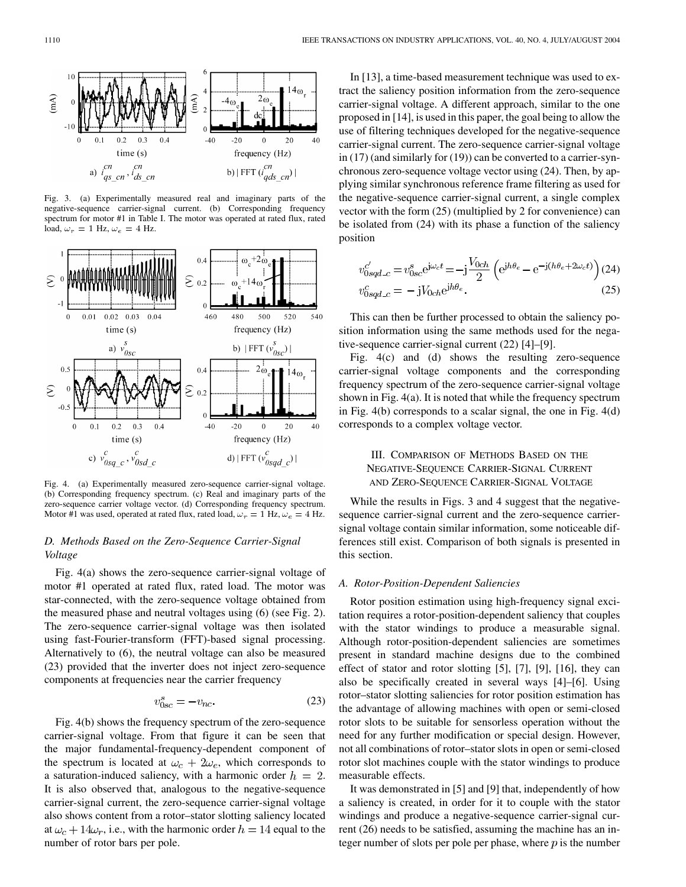

Fig. 3. (a) Experimentally measured real and imaginary parts of the negative-sequence carrier-signal current. (b) Corresponding frequency spectrum for motor #1 in Table I. The motor was operated at rated flux, rated load,  $\omega_r = 1$  Hz,  $\omega_e = 4$  Hz.



Fig. 4. (a) Experimentally measured zero-sequence carrier-signal voltage. (b) Corresponding frequency spectrum. (c) Real and imaginary parts of the zero-sequence carrier voltage vector. (d) Corresponding frequency spectrum. Motor #1 was used, operated at rated flux, rated load,  $\omega_r = 1$  Hz,  $\omega_e = 4$  Hz.

# *D. Methods Based on the Zero-Sequence Carrier-Signal Voltage*

Fig. 4(a) shows the zero-sequence carrier-signal voltage of motor #1 operated at rated flux, rated load. The motor was star-connected, with the zero-sequence voltage obtained from the measured phase and neutral voltages using (6) (see Fig. 2). The zero-sequence carrier-signal voltage was then isolated using fast-Fourier-transform (FFT)-based signal processing. Alternatively to (6), the neutral voltage can also be measured (23) provided that the inverter does not inject zero-sequence components at frequencies near the carrier frequency

$$
v_{0sc}^s = -v_{nc}.\tag{23}
$$

Fig. 4(b) shows the frequency spectrum of the zero-sequence carrier-signal voltage. From that figure it can be seen that the major fundamental-frequency-dependent component of the spectrum is located at  $\omega_c + 2\omega_e$ , which corresponds to a saturation-induced saliency, with a harmonic order  $h = 2$ . It is also observed that, analogous to the negative-sequence carrier-signal current, the zero-sequence carrier-signal voltage also shows content from a rotor–stator slotting saliency located at  $\omega_c + 14\omega_r$ , i.e., with the harmonic order  $h = 14$  equal to the number of rotor bars per pole.

In [\[13](#page-8-0)], a time-based measurement technique was used to extract the saliency position information from the zero-sequence carrier-signal voltage. A different approach, similar to the one proposed in [[14\]](#page-8-0), is used in this paper, the goal being to allow the use of filtering techniques developed for the negative-sequence carrier-signal current. The zero-sequence carrier-signal voltage in (17) (and similarly for (19)) can be converted to a carrier-synchronous zero-sequence voltage vector using (24). Then, by applying similar synchronous reference frame filtering as used for the negative-sequence carrier-signal current, a single complex vector with the form (25) (multiplied by 2 for convenience) can be isolated from (24) with its phase a function of the saliency position

$$
v_{0sqd\_c}^{c'} = v_{0sc}^{s} e^{j\omega_c t} = -j \frac{V_{0ch}}{2} \left( e^{j h \theta_e} - e^{-j (h \theta_e + 2\omega_c t)} \right)
$$
 (24)  

$$
v_{0sqd\_c}^{c} = -j V_{0ch} e^{j h \theta_e}.
$$
 (25)

This can then be further processed to obtain the saliency position information using the same methods used for the negative-sequence carrier-signal current (22) [[4\]](#page-8-0)–[\[9](#page-8-0)].

Fig. 4(c) and (d) shows the resulting zero-sequence carrier-signal voltage components and the corresponding frequency spectrum of the zero-sequence carrier-signal voltage shown in Fig. 4(a). It is noted that while the frequency spectrum in Fig. 4(b) corresponds to a scalar signal, the one in Fig. 4(d) corresponds to a complex voltage vector.

## III. COMPARISON OF METHODS BASED ON THE NEGATIVE-SEQUENCE CARRIER-SIGNAL CURRENT AND ZERO-SEQUENCE CARRIER-SIGNAL VOLTAGE

While the results in Figs. 3 and 4 suggest that the negativesequence carrier-signal current and the zero-sequence carriersignal voltage contain similar information, some noticeable differences still exist. Comparison of both signals is presented in this section.

### *A. Rotor-Position-Dependent Saliencies*

Rotor position estimation using high-frequency signal excitation requires a rotor-position-dependent saliency that couples with the stator windings to produce a measurable signal. Although rotor-position-dependent saliencies are sometimes present in standard machine designs due to the combined effect of stator and rotor slotting [[5](#page-8-0)], [\[7](#page-8-0)], [\[9](#page-8-0)], [\[16](#page-8-0)], they can also be specifically created in several ways [\[4](#page-8-0)]–[\[6\]](#page-8-0). Using rotor–stator slotting saliencies for rotor position estimation has the advantage of allowing machines with open or semi-closed rotor slots to be suitable for sensorless operation without the need for any further modification or special design. However, not all combinations of rotor–stator slots in open or semi-closed rotor slot machines couple with the stator windings to produce measurable effects.

It was demonstrated in [\[5](#page-8-0)] and [[9\]](#page-8-0) that, independently of how a saliency is created, in order for it to couple with the stator windings and produce a negative-sequence carrier-signal current (26) needs to be satisfied, assuming the machine has an integer number of slots per pole per phase, where  $p$  is the number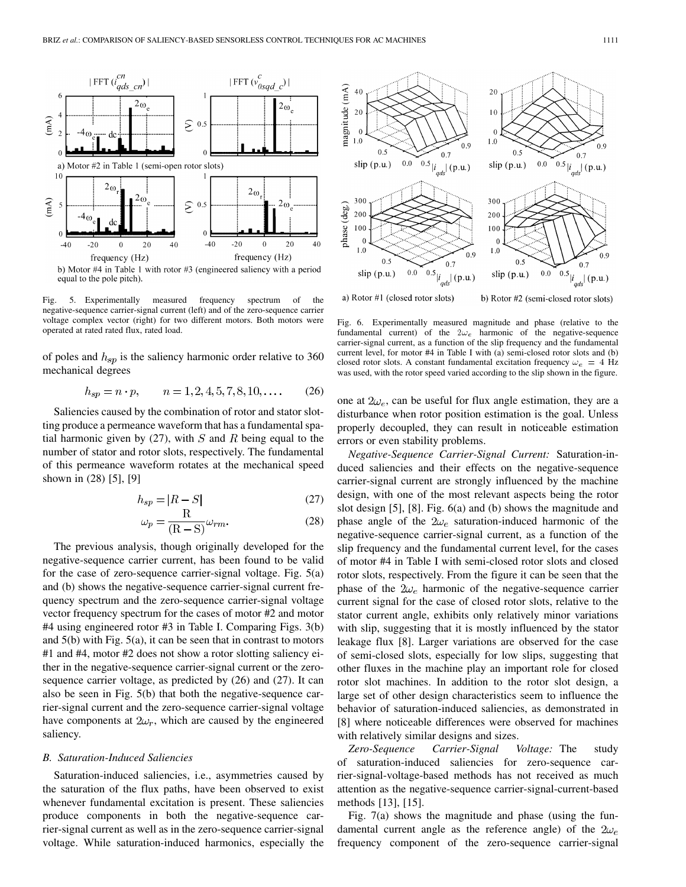

Fig. 5. Experimentally measured frequency spectrum of the negative-sequence carrier-signal current (left) and of the zero-sequence carrier voltage complex vector (right) for two different motors. Both motors were operated at rated rated flux, rated load.

of poles and  $h_{sp}$  is the saliency harmonic order relative to 360 mechanical degrees

$$
h_{sp} = n \cdot p, \qquad n = 1, 2, 4, 5, 7, 8, 10, \dots \tag{26}
$$

Saliencies caused by the combination of rotor and stator slotting produce a permeance waveform that has a fundamental spatial harmonic given by (27), with  $S$  and  $R$  being equal to the number of stator and rotor slots, respectively. The fundamental of this permeance waveform rotates at the mechanical speed shown in (28) [\[5](#page-8-0)], [\[9](#page-8-0)]

$$
h_{sp} = |R - S| \tag{27}
$$

$$
\omega_p = \frac{R}{(R - S)} \omega_{rm}.
$$
\n(28)

The previous analysis, though originally developed for the negative-sequence carrier current, has been found to be valid for the case of zero-sequence carrier-signal voltage. Fig. 5(a) and (b) shows the negative-sequence carrier-signal current frequency spectrum and the zero-sequence carrier-signal voltage vector frequency spectrum for the cases of motor #2 and motor #4 using engineered rotor #3 in Table I. Comparing Figs. 3(b) and 5(b) with Fig. 5(a), it can be seen that in contrast to motors #1 and #4, motor #2 does not show a rotor slotting saliency either in the negative-sequence carrier-signal current or the zerosequence carrier voltage, as predicted by (26) and (27). It can also be seen in Fig. 5(b) that both the negative-sequence carrier-signal current and the zero-sequence carrier-signal voltage have components at  $2\omega_r$ , which are caused by the engineered saliency.

#### *B. Saturation-Induced Saliencies*

Saturation-induced saliencies, i.e., asymmetries caused by the saturation of the flux paths, have been observed to exist whenever fundamental excitation is present. These saliencies produce components in both the negative-sequence carrier-signal current as well as in the zero-sequence carrier-signal voltage. While saturation-induced harmonics, especially the



a) Rotor #1 (closed rotor slots)

b) Rotor #2 (semi-closed rotor slots)

Fig. 6. Experimentally measured magnitude and phase (relative to the fundamental current) of the  $2\omega_e$  harmonic of the negative-sequence carrier-signal current, as a function of the slip frequency and the fundamental current level, for motor #4 in Table I with (a) semi-closed rotor slots and (b) closed rotor slots. A constant fundamental excitation frequency  $\omega_e = 4$  Hz was used, with the rotor speed varied according to the slip shown in the figure.

one at  $2\omega_e$ , can be useful for flux angle estimation, they are a disturbance when rotor position estimation is the goal. Unless properly decoupled, they can result in noticeable estimation errors or even stability problems.

*Negative-Sequence Carrier-Signal Current:* Saturation-induced saliencies and their effects on the negative-sequence carrier-signal current are strongly influenced by the machine design, with one of the most relevant aspects being the rotor slot design [[5\]](#page-8-0), [[8](#page-8-0)]. Fig. 6(a) and (b) shows the magnitude and phase angle of the  $2\omega_e$  saturation-induced harmonic of the negative-sequence carrier-signal current, as a function of the slip frequency and the fundamental current level, for the cases of motor #4 in Table I with semi-closed rotor slots and closed rotor slots, respectively. From the figure it can be seen that the phase of the  $2\omega_e$  harmonic of the negative-sequence carrier current signal for the case of closed rotor slots, relative to the stator current angle, exhibits only relatively minor variations with slip, suggesting that it is mostly influenced by the stator leakage flux [[8\]](#page-8-0). Larger variations are observed for the case of semi-closed slots, especially for low slips, suggesting that other fluxes in the machine play an important role for closed rotor slot machines. In addition to the rotor slot design, a large set of other design characteristics seem to influence the behavior of saturation-induced saliencies, as demonstrated in [\[8](#page-8-0)] where noticeable differences were observed for machines with relatively similar designs and sizes.

*Zero-Sequence Carrier-Signal Voltage:* The study of saturation-induced saliencies for zero-sequence carrier-signal-voltage-based methods has not received as much attention as the negative-sequence carrier-signal-current-based methods [\[13](#page-8-0)], [\[15](#page-8-0)].

Fig. 7(a) shows the magnitude and phase (using the fundamental current angle as the reference angle) of the  $2\omega_e$ frequency component of the zero-sequence carrier-signal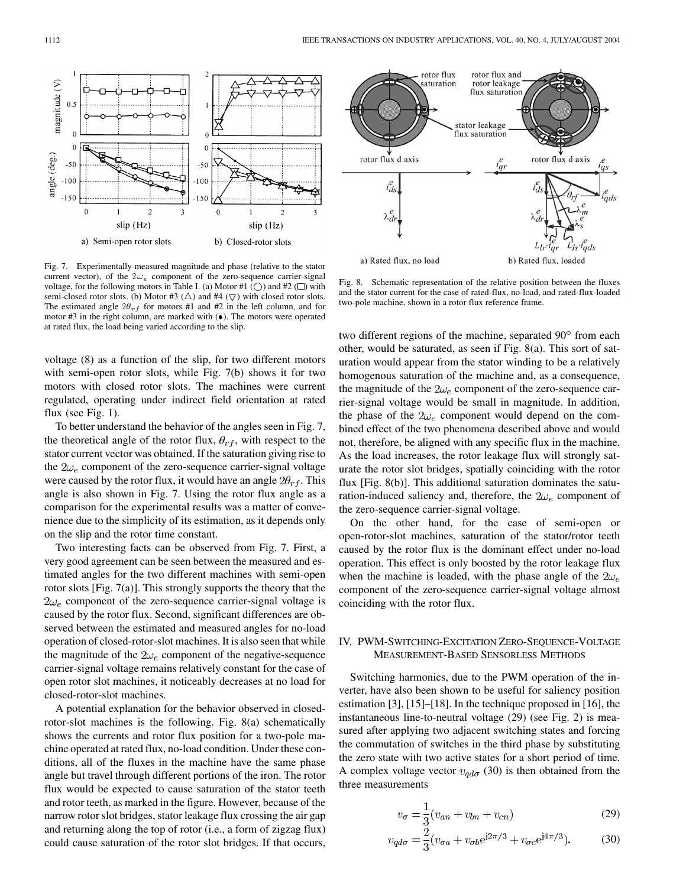

Fig. 7. Experimentally measured magnitude and phase (relative to the stator current vector), of the  $2\omega_e$  component of the zero-sequence carrier-signal voltage, for the following motors in Table I. (a) Motor #1 ( $\bigcirc$ ) and #2 ( $\square$ ) with semi-closed rotor slots. (b) Motor #3  $(\triangle)$  and #4  $(\nabla)$  with closed rotor slots. The estimated angle  $2\theta_{rf}$  for motors #1 and #2 in the left column, and for motor  $#3$  in the right column, are marked with  $(\bullet)$ . The motors were operated at rated flux, the load being varied according to the slip.

voltage (8) as a function of the slip, for two different motors with semi-open rotor slots, while Fig. 7(b) shows it for two motors with closed rotor slots. The machines were current regulated, operating under indirect field orientation at rated flux (see Fig. 1).

To better understand the behavior of the angles seen in Fig. 7, the theoretical angle of the rotor flux,  $\theta_{rf}$ , with respect to the stator current vector was obtained. If the saturation giving rise to the  $2\omega_e$  component of the zero-sequence carrier-signal voltage were caused by the rotor flux, it would have an angle  $2\theta_{rf}$ . This angle is also shown in Fig. 7. Using the rotor flux angle as a comparison for the experimental results was a matter of convenience due to the simplicity of its estimation, as it depends only on the slip and the rotor time constant.

Two interesting facts can be observed from Fig. 7. First, a very good agreement can be seen between the measured and estimated angles for the two different machines with semi-open rotor slots [Fig. 7(a)]. This strongly supports the theory that the  $2\omega_e$  component of the zero-sequence carrier-signal voltage is caused by the rotor flux. Second, significant differences are observed between the estimated and measured angles for no-load operation of closed-rotor-slot machines. It is also seen that while the magnitude of the  $2\omega_e$  component of the negative-sequence carrier-signal voltage remains relatively constant for the case of open rotor slot machines, it noticeably decreases at no load for closed-rotor-slot machines.

A potential explanation for the behavior observed in closedrotor-slot machines is the following. Fig. 8(a) schematically shows the currents and rotor flux position for a two-pole machine operated at rated flux, no-load condition. Under these conditions, all of the fluxes in the machine have the same phase angle but travel through different portions of the iron. The rotor flux would be expected to cause saturation of the stator teeth and rotor teeth, as marked in the figure. However, because of the narrow rotor slot bridges, stator leakage flux crossing the air gap and returning along the top of rotor (i.e., a form of zigzag flux) could cause saturation of the rotor slot bridges. If that occurs,



Fig. 8. Schematic representation of the relative position between the fluxes and the stator current for the case of rated-flux, no-load, and rated-flux-loaded two-pole machine, shown in a rotor flux reference frame.

two different regions of the machine, separated 90° from each other, would be saturated, as seen if Fig. 8(a). This sort of saturation would appear from the stator winding to be a relatively homogenous saturation of the machine and, as a consequence, the magnitude of the  $2\omega_e$  component of the zero-sequence carrier-signal voltage would be small in magnitude. In addition, the phase of the  $2\omega_e$  component would depend on the combined effect of the two phenomena described above and would not, therefore, be aligned with any specific flux in the machine. As the load increases, the rotor leakage flux will strongly saturate the rotor slot bridges, spatially coinciding with the rotor flux [Fig. 8(b)]. This additional saturation dominates the saturation-induced saliency and, therefore, the  $2\omega_e$  component of the zero-sequence carrier-signal voltage.

On the other hand, for the case of semi-open or open-rotor-slot machines, saturation of the stator/rotor teeth caused by the rotor flux is the dominant effect under no-load operation. This effect is only boosted by the rotor leakage flux when the machine is loaded, with the phase angle of the  $2\omega_e$ component of the zero-sequence carrier-signal voltage almost coinciding with the rotor flux.

## IV. PWM-SWITCHING-EXCITATION ZERO-SEQUENCE-VOLTAGE MEASUREMENT-BASED SENSORLESS METHODS

Switching harmonics, due to the PWM operation of the inverter, have also been shown to be useful for saliency position estimation [[3\]](#page-8-0), [\[15\]](#page-8-0)–[[18\]](#page-8-0). In the technique proposed in [[16](#page-8-0)], the instantaneous line-to-neutral voltage (29) (see Fig. 2) is measured after applying two adjacent switching states and forcing the commutation of switches in the third phase by substituting the zero state with two active states for a short period of time. A complex voltage vector  $v_{q d\sigma}$  (30) is then obtained from the three measurements

$$
v_{\sigma} = \frac{1}{3}(v_{an} + v_{bn} + v_{cn})
$$
 (29)

$$
v_{q d \sigma} = \frac{2}{3} (v_{\sigma a} + v_{\sigma b} e^{j2\pi/3} + v_{\sigma c} e^{j4\pi/3}).
$$
 (30)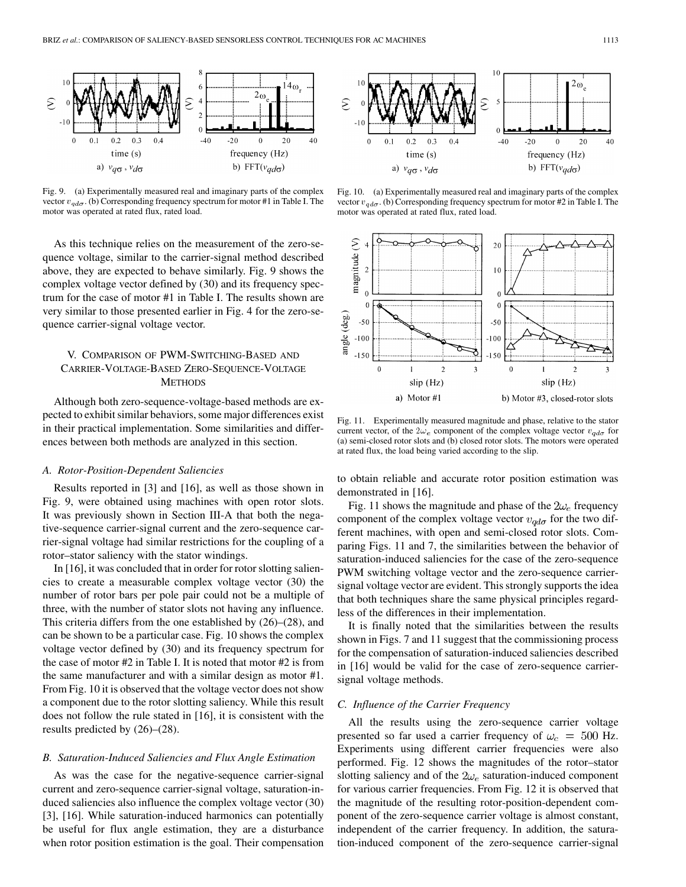

Fig. 9. (a) Experimentally measured real and imaginary parts of the complex vector  $v_{\alpha d\sigma}$ . (b) Corresponding frequency spectrum for motor #1 in Table I. The motor was operated at rated flux, rated load.

As this technique relies on the measurement of the zero-sequence voltage, similar to the carrier-signal method described above, they are expected to behave similarly. Fig. 9 shows the complex voltage vector defined by (30) and its frequency spectrum for the case of motor #1 in Table I. The results shown are very similar to those presented earlier in Fig. 4 for the zero-sequence carrier-signal voltage vector.

## V. COMPARISON OF PWM-SWITCHING-BASED AND CARRIER-VOLTAGE-BASED ZERO-SEQUENCE-VOLTAGE **METHODS**

Although both zero-sequence-voltage-based methods are expected to exhibit similar behaviors, some major differences exist in their practical implementation. Some similarities and differences between both methods are analyzed in this section.

#### *A. Rotor-Position-Dependent Saliencies*

Results reported in [[3\]](#page-8-0) and [[16\]](#page-8-0), as well as those shown in Fig. 9, were obtained using machines with open rotor slots. It was previously shown in Section III-A that both the negative-sequence carrier-signal current and the zero-sequence carrier-signal voltage had similar restrictions for the coupling of a rotor–stator saliency with the stator windings.

In [[16\]](#page-8-0), it was concluded that in order for rotor slotting saliencies to create a measurable complex voltage vector (30) the number of rotor bars per pole pair could not be a multiple of three, with the number of stator slots not having any influence. This criteria differs from the one established by (26)–(28), and can be shown to be a particular case. Fig. 10 shows the complex voltage vector defined by (30) and its frequency spectrum for the case of motor #2 in Table I. It is noted that motor #2 is from the same manufacturer and with a similar design as motor #1. From Fig. 10 it is observed that the voltage vector does not show a component due to the rotor slotting saliency. While this result does not follow the rule stated in [\[16](#page-8-0)], it is consistent with the results predicted by (26)–(28).

## *B. Saturation-Induced Saliencies and Flux Angle Estimation*

As was the case for the negative-sequence carrier-signal current and zero-sequence carrier-signal voltage, saturation-induced saliencies also influence the complex voltage vector (30) [\[3](#page-8-0)], [\[16](#page-8-0)]. While saturation-induced harmonics can potentially be useful for flux angle estimation, they are a disturbance when rotor position estimation is the goal. Their compensation



Fig. 10. (a) Experimentally measured real and imaginary parts of the complex vector  $v_{q d\sigma}$ . (b) Corresponding frequency spectrum for motor #2 in Table I. The motor was operated at rated flux, rated load.



Fig. 11. Experimentally measured magnitude and phase, relative to the stator current vector, of the  $2\omega_e$  component of the complex voltage vector  $v_{q d\sigma}$  for (a) semi-closed rotor slots and (b) closed rotor slots. The motors were operated at rated flux, the load being varied according to the slip.

to obtain reliable and accurate rotor position estimation was demonstrated in [[16\]](#page-8-0).

Fig. 11 shows the magnitude and phase of the  $2\omega_e$  frequency component of the complex voltage vector  $v_{\alpha d\sigma}$  for the two different machines, with open and semi-closed rotor slots. Comparing Figs. 11 and 7, the similarities between the behavior of saturation-induced saliencies for the case of the zero-sequence PWM switching voltage vector and the zero-sequence carriersignal voltage vector are evident. This strongly supports the idea that both techniques share the same physical principles regardless of the differences in their implementation.

It is finally noted that the similarities between the results shown in Figs. 7 and 11 suggest that the commissioning process for the compensation of saturation-induced saliencies described in [[16\]](#page-8-0) would be valid for the case of zero-sequence carriersignal voltage methods.

#### *C. Influence of the Carrier Frequency*

All the results using the zero-sequence carrier voltage presented so far used a carrier frequency of  $\omega_c = 500$  Hz. Experiments using different carrier frequencies were also performed. Fig. 12 shows the magnitudes of the rotor–stator slotting saliency and of the  $2\omega_e$  saturation-induced component for various carrier frequencies. From Fig. 12 it is observed that the magnitude of the resulting rotor-position-dependent component of the zero-sequence carrier voltage is almost constant, independent of the carrier frequency. In addition, the saturation-induced component of the zero-sequence carrier-signal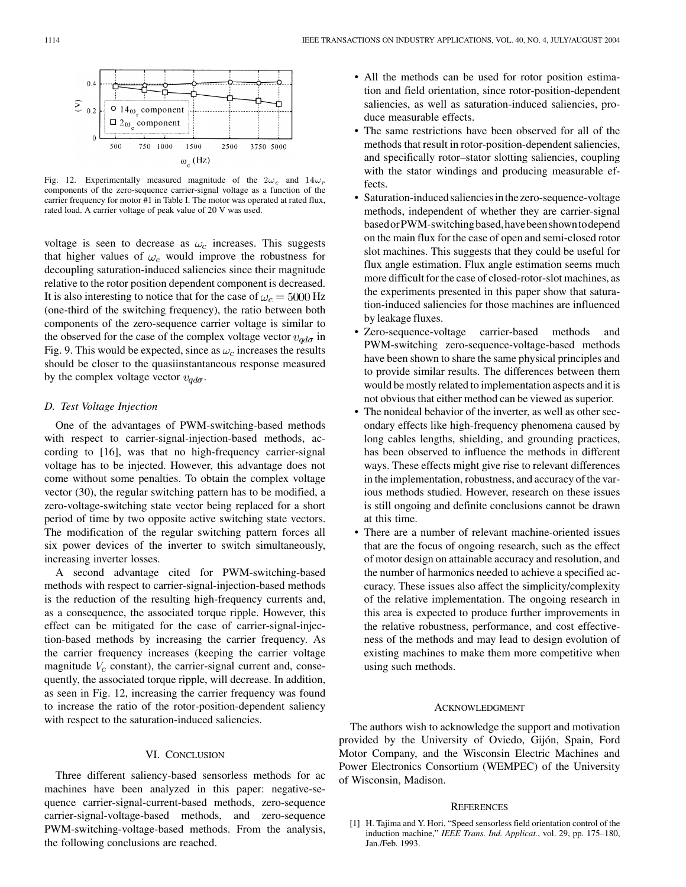<span id="page-7-0"></span>

Fig. 12. Experimentally measured magnitude of the  $2\omega_e$  and  $14\omega_r$ components of the zero-sequence carrier-signal voltage as a function of the carrier frequency for motor #1 in Table I. The motor was operated at rated flux, rated load. A carrier voltage of peak value of 20 V was used.

voltage is seen to decrease as  $\omega_c$  increases. This suggests that higher values of  $\omega_c$  would improve the robustness for decoupling saturation-induced saliencies since their magnitude relative to the rotor position dependent component is decreased. It is also interesting to notice that for the case of  $\omega_c = 5000 \text{ Hz}$ (one-third of the switching frequency), the ratio between both components of the zero-sequence carrier voltage is similar to the observed for the case of the complex voltage vector  $v_{q d\sigma}$  in Fig. 9. This would be expected, since as  $\omega_c$  increases the results should be closer to the quasiinstantaneous response measured by the complex voltage vector  $v_{\alpha d\sigma}$ .

## *D. Test Voltage Injection*

One of the advantages of PWM-switching-based methods with respect to carrier-signal-injection-based methods, according to [\[16](#page-8-0)], was that no high-frequency carrier-signal voltage has to be injected. However, this advantage does not come without some penalties. To obtain the complex voltage vector (30), the regular switching pattern has to be modified, a zero-voltage-switching state vector being replaced for a short period of time by two opposite active switching state vectors. The modification of the regular switching pattern forces all six power devices of the inverter to switch simultaneously, increasing inverter losses.

A second advantage cited for PWM-switching-based methods with respect to carrier-signal-injection-based methods is the reduction of the resulting high-frequency currents and, as a consequence, the associated torque ripple. However, this effect can be mitigated for the case of carrier-signal-injection-based methods by increasing the carrier frequency. As the carrier frequency increases (keeping the carrier voltage magnitude  $V_c$  constant), the carrier-signal current and, consequently, the associated torque ripple, will decrease. In addition, as seen in Fig. 12, increasing the carrier frequency was found to increase the ratio of the rotor-position-dependent saliency with respect to the saturation-induced saliencies.

## VI. CONCLUSION

Three different saliency-based sensorless methods for ac machines have been analyzed in this paper: negative-sequence carrier-signal-current-based methods, zero-sequence carrier-signal-voltage-based methods, and zero-sequence PWM-switching-voltage-based methods. From the analysis, the following conclusions are reached.

- All the methods can be used for rotor position estimation and field orientation, since rotor-position-dependent saliencies, as well as saturation-induced saliencies, produce measurable effects.
- The same restrictions have been observed for all of the methods that result in rotor-position-dependent saliencies, and specifically rotor–stator slotting saliencies, coupling with the stator windings and producing measurable effects.
- Saturation-induced saliencies in the zero-sequence-voltage methods, independent of whether they are carrier-signal basedorPWM-switchingbased,havebeenshowntodepend on the main flux for the case of open and semi-closed rotor slot machines. This suggests that they could be useful for flux angle estimation. Flux angle estimation seems much more difficult for the case of closed-rotor-slot machines, as the experiments presented in this paper show that saturation-induced saliencies for those machines are influenced by leakage fluxes.
- Zero-sequence-voltage carrier-based methods and PWM-switching zero-sequence-voltage-based methods have been shown to share the same physical principles and to provide similar results. The differences between them would be mostly related to implementation aspects and it is not obvious that either method can be viewed as superior.
- The nonideal behavior of the inverter, as well as other secondary effects like high-frequency phenomena caused by long cables lengths, shielding, and grounding practices, has been observed to influence the methods in different ways. These effects might give rise to relevant differences in the implementation, robustness, and accuracy of the various methods studied. However, research on these issues is still ongoing and definite conclusions cannot be drawn at this time.
- There are a number of relevant machine-oriented issues that are the focus of ongoing research, such as the effect of motor design on attainable accuracy and resolution, and the number of harmonics needed to achieve a specified accuracy. These issues also affect the simplicity/complexity of the relative implementation. The ongoing research in this area is expected to produce further improvements in the relative robustness, performance, and cost effectiveness of the methods and may lead to design evolution of existing machines to make them more competitive when using such methods.

### ACKNOWLEDGMENT

The authors wish to acknowledge the support and motivation provided by the University of Oviedo, Gijón, Spain, Ford Motor Company, and the Wisconsin Electric Machines and Power Electronics Consortium (WEMPEC) of the University of Wisconsin, Madison.

#### **REFERENCES**

[1] H. Tajima and Y. Hori, "Speed sensorless field orientation control of the induction machine," *IEEE Trans. Ind. Applicat.*, vol. 29, pp. 175–180, Jan./Feb. 1993.